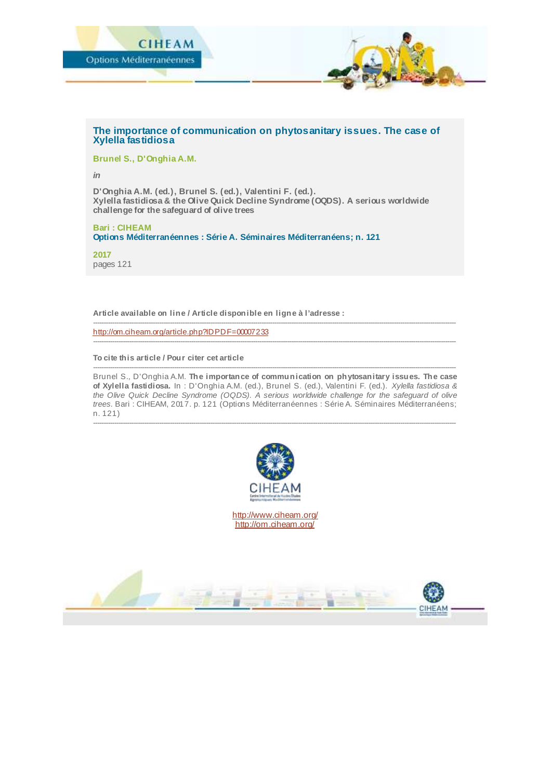

## **The importance of communication on phytosanitary issues. The case of Xylella fastidiosa**

**Brunel S., D'Onghia A.M.**

*in*

**D'Onghia A.M. (ed.), Brunel S. (ed.), Valentini F. (ed.). Xylella fastidiosa & the Olive Quick Decline Syndrome (OQDS). A serious worldwide challenge for the safeguard of olive trees**

**Bari : CIHEAM Options Méditerranéennes : Série A. Séminaires Méditerranéens; n. 121**

**2017** pages 121

**Article available on line / Article disponible en ligne à l'adresse :**

------------------------------------------------------------------------------------------------------------------------------------------------------------------------- <http://om.ciheam.org/article.php?IDPDF=00007233>

**To cite this article / Pour citer cet article**

-------------------------------------------------------------------------------------------------------------------------------------------------------------------------- Brunel S., D'Onghia A.M. **The importance of communication on phytosanitary issues. The case of Xylella fastidiosa.** In : D'Onghia A.M. (ed.), Brunel S. (ed.), Valentini F. (ed.). *Xylella fastidiosa & the Olive Quick Decline Syndrome (OQDS). A serious worldwide challenge for the safeguard of olive trees.* Bari : CIHEAM, 2017. p. 121 (Options Méditerranéennes : Série A. Séminaires Méditerranéens; n. 121)

--------------------------------------------------------------------------------------------------------------------------------------------------------------------------

--------------------------------------------------------------------------------------------------------------------------------------------------------------------------



<http://www.ciheam.org/> <http://om.ciheam.org/>